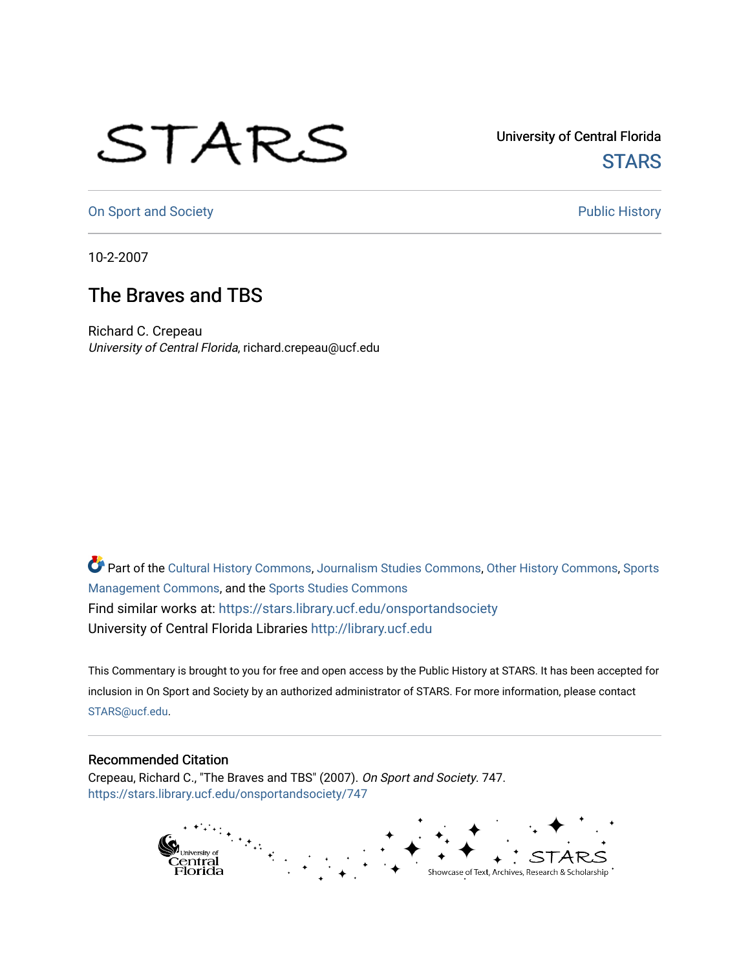## STARS

University of Central Florida **STARS** 

[On Sport and Society](https://stars.library.ucf.edu/onsportandsociety) **Public History** Public History

10-2-2007

## The Braves and TBS

Richard C. Crepeau University of Central Florida, richard.crepeau@ucf.edu

Part of the [Cultural History Commons](http://network.bepress.com/hgg/discipline/496?utm_source=stars.library.ucf.edu%2Fonsportandsociety%2F747&utm_medium=PDF&utm_campaign=PDFCoverPages), [Journalism Studies Commons,](http://network.bepress.com/hgg/discipline/333?utm_source=stars.library.ucf.edu%2Fonsportandsociety%2F747&utm_medium=PDF&utm_campaign=PDFCoverPages) [Other History Commons,](http://network.bepress.com/hgg/discipline/508?utm_source=stars.library.ucf.edu%2Fonsportandsociety%2F747&utm_medium=PDF&utm_campaign=PDFCoverPages) [Sports](http://network.bepress.com/hgg/discipline/1193?utm_source=stars.library.ucf.edu%2Fonsportandsociety%2F747&utm_medium=PDF&utm_campaign=PDFCoverPages) [Management Commons](http://network.bepress.com/hgg/discipline/1193?utm_source=stars.library.ucf.edu%2Fonsportandsociety%2F747&utm_medium=PDF&utm_campaign=PDFCoverPages), and the [Sports Studies Commons](http://network.bepress.com/hgg/discipline/1198?utm_source=stars.library.ucf.edu%2Fonsportandsociety%2F747&utm_medium=PDF&utm_campaign=PDFCoverPages) Find similar works at: <https://stars.library.ucf.edu/onsportandsociety> University of Central Florida Libraries [http://library.ucf.edu](http://library.ucf.edu/) 

This Commentary is brought to you for free and open access by the Public History at STARS. It has been accepted for inclusion in On Sport and Society by an authorized administrator of STARS. For more information, please contact [STARS@ucf.edu](mailto:STARS@ucf.edu).

## Recommended Citation

Crepeau, Richard C., "The Braves and TBS" (2007). On Sport and Society. 747. [https://stars.library.ucf.edu/onsportandsociety/747](https://stars.library.ucf.edu/onsportandsociety/747?utm_source=stars.library.ucf.edu%2Fonsportandsociety%2F747&utm_medium=PDF&utm_campaign=PDFCoverPages)

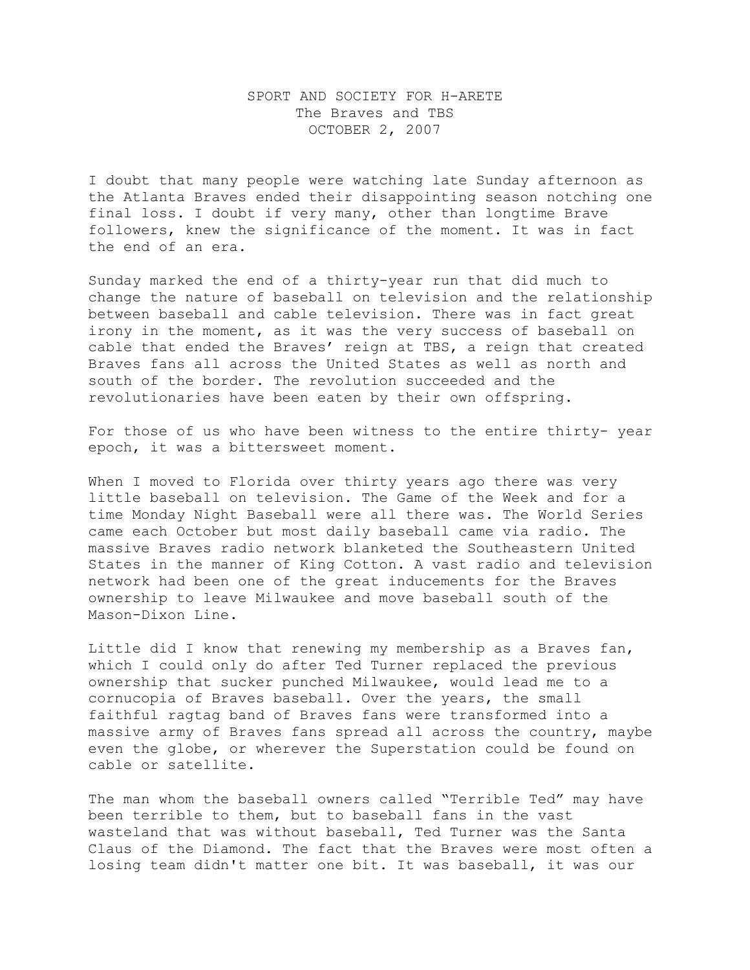## SPORT AND SOCIETY FOR H-ARETE The Braves and TBS OCTOBER 2, 2007

I doubt that many people were watching late Sunday afternoon as the Atlanta Braves ended their disappointing season notching one final loss. I doubt if very many, other than longtime Brave followers, knew the significance of the moment. It was in fact the end of an era.

Sunday marked the end of a thirty-year run that did much to change the nature of baseball on television and the relationship between baseball and cable television. There was in fact great irony in the moment, as it was the very success of baseball on cable that ended the Braves' reign at TBS, a reign that created Braves fans all across the United States as well as north and south of the border. The revolution succeeded and the revolutionaries have been eaten by their own offspring.

For those of us who have been witness to the entire thirty- year epoch, it was a bittersweet moment.

When I moved to Florida over thirty years ago there was very little baseball on television. The Game of the Week and for a time Monday Night Baseball were all there was. The World Series came each October but most daily baseball came via radio. The massive Braves radio network blanketed the Southeastern United States in the manner of King Cotton. A vast radio and television network had been one of the great inducements for the Braves ownership to leave Milwaukee and move baseball south of the Mason-Dixon Line.

Little did I know that renewing my membership as a Braves fan, which I could only do after Ted Turner replaced the previous ownership that sucker punched Milwaukee, would lead me to a cornucopia of Braves baseball. Over the years, the small faithful ragtag band of Braves fans were transformed into a massive army of Braves fans spread all across the country, maybe even the globe, or wherever the Superstation could be found on cable or satellite.

The man whom the baseball owners called "Terrible Ted" may have been terrible to them, but to baseball fans in the vast wasteland that was without baseball, Ted Turner was the Santa Claus of the Diamond. The fact that the Braves were most often a losing team didn't matter one bit. It was baseball, it was our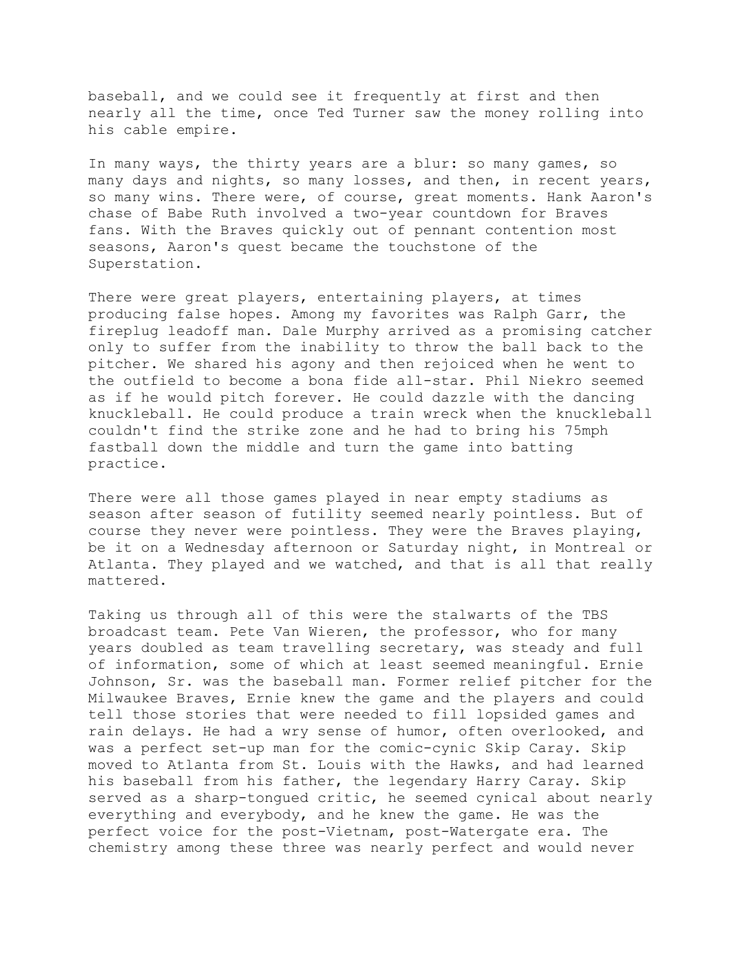baseball, and we could see it frequently at first and then nearly all the time, once Ted Turner saw the money rolling into his cable empire.

In many ways, the thirty years are a blur: so many games, so many days and nights, so many losses, and then, in recent years, so many wins. There were, of course, great moments. Hank Aaron's chase of Babe Ruth involved a two-year countdown for Braves fans. With the Braves quickly out of pennant contention most seasons, Aaron's quest became the touchstone of the Superstation.

There were great players, entertaining players, at times producing false hopes. Among my favorites was Ralph Garr, the fireplug leadoff man. Dale Murphy arrived as a promising catcher only to suffer from the inability to throw the ball back to the pitcher. We shared his agony and then rejoiced when he went to the outfield to become a bona fide all-star. Phil Niekro seemed as if he would pitch forever. He could dazzle with the dancing knuckleball. He could produce a train wreck when the knuckleball couldn't find the strike zone and he had to bring his 75mph fastball down the middle and turn the game into batting practice.

There were all those games played in near empty stadiums as season after season of futility seemed nearly pointless. But of course they never were pointless. They were the Braves playing, be it on a Wednesday afternoon or Saturday night, in Montreal or Atlanta. They played and we watched, and that is all that really mattered.

Taking us through all of this were the stalwarts of the TBS broadcast team. Pete Van Wieren, the professor, who for many years doubled as team travelling secretary, was steady and full of information, some of which at least seemed meaningful. Ernie Johnson, Sr. was the baseball man. Former relief pitcher for the Milwaukee Braves, Ernie knew the game and the players and could tell those stories that were needed to fill lopsided games and rain delays. He had a wry sense of humor, often overlooked, and was a perfect set-up man for the comic-cynic Skip Caray. Skip moved to Atlanta from St. Louis with the Hawks, and had learned his baseball from his father, the legendary Harry Caray. Skip served as a sharp-tongued critic, he seemed cynical about nearly everything and everybody, and he knew the game. He was the perfect voice for the post-Vietnam, post-Watergate era. The chemistry among these three was nearly perfect and would never